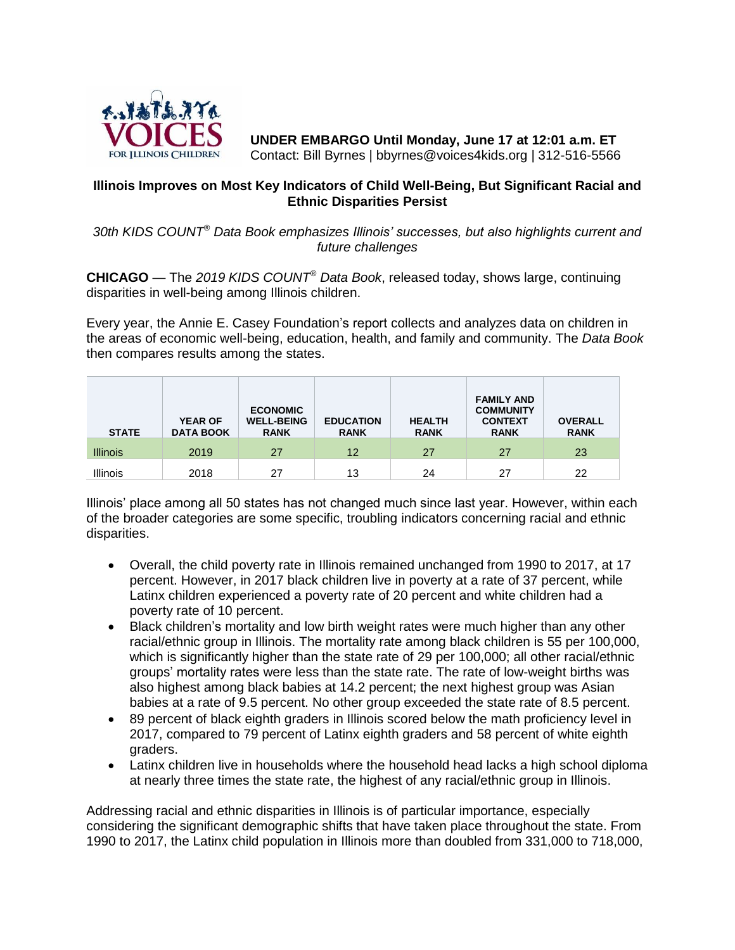

**UNDER EMBARGO Until Monday, June 17 at 12:01 a.m. ET** Contact: Bill Byrnes | bbyrnes@voices4kids.org | 312-516-5566

## **Illinois Improves on Most Key Indicators of Child Well-Being, But Significant Racial and Ethnic Disparities Persist**

*30th KIDS COUNT® Data Book emphasizes Illinois' successes, but also highlights current and future challenges*

**CHICAGO** — The *2019 KIDS COUNT® Data Book*, released today, shows large, continuing disparities in well-being among Illinois children.

Every year, the Annie E. Casey Foundation's report collects and analyzes data on children in the areas of economic well-being, education, health, and family and community. The *Data Book* then compares results among the states.

| <b>STATE</b>    | <b>YEAR OF</b><br><b>DATA BOOK</b> | <b>ECONOMIC</b><br><b>WELL-BEING</b><br><b>RANK</b> | <b>EDUCATION</b><br><b>RANK</b> | <b>HEALTH</b><br><b>RANK</b> | <b>FAMILY AND</b><br><b>COMMUNITY</b><br><b>CONTEXT</b><br><b>RANK</b> | <b>OVERALL</b><br><b>RANK</b> |
|-----------------|------------------------------------|-----------------------------------------------------|---------------------------------|------------------------------|------------------------------------------------------------------------|-------------------------------|
| <b>Illinois</b> | 2019                               | 27                                                  | 12                              | 27                           | 27                                                                     | 23                            |
| <b>Illinois</b> | 2018                               | 27                                                  | 13                              | 24                           | 27                                                                     | 22                            |

Illinois' place among all 50 states has not changed much since last year. However, within each of the broader categories are some specific, troubling indicators concerning racial and ethnic disparities.

- Overall, the child poverty rate in Illinois remained unchanged from 1990 to 2017, at 17 percent. However, in 2017 black children live in poverty at a rate of 37 percent, while Latinx children experienced a poverty rate of 20 percent and white children had a poverty rate of 10 percent.
- Black children's mortality and low birth weight rates were much higher than any other racial/ethnic group in Illinois. The mortality rate among black children is 55 per 100,000, which is significantly higher than the state rate of 29 per 100,000; all other racial/ethnic groups' mortality rates were less than the state rate. The rate of low-weight births was also highest among black babies at 14.2 percent; the next highest group was Asian babies at a rate of 9.5 percent. No other group exceeded the state rate of 8.5 percent.
- 89 percent of black eighth graders in Illinois scored below the math proficiency level in 2017, compared to 79 percent of Latinx eighth graders and 58 percent of white eighth graders.
- Latinx children live in households where the household head lacks a high school diploma at nearly three times the state rate, the highest of any racial/ethnic group in Illinois.

Addressing racial and ethnic disparities in Illinois is of particular importance, especially considering the significant demographic shifts that have taken place throughout the state. From 1990 to 2017, the Latinx child population in Illinois more than doubled from 331,000 to 718,000,